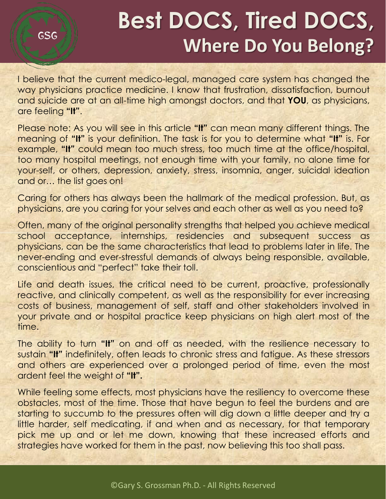# **Best DOCS, Tired DOCS, Where Do You Belong?**

I believe that the current medico-legal, managed care system has changed the way physicians practice medicine. I know that frustration, dissatisfaction, burnout and suicide are at an all-time high amongst doctors, and that **YOU**, as physicians, are feeling **"It"**.

GSG

Please note: As you will see in this article **"It"** can mean many different things. The meaning of **"It"** is your definition. The task is for you to determine what **"It"** is. For example, **"It"** could mean too much stress, too much time at the office/hospital, too many hospital meetings, not enough time with your family, no alone time for your-self, or others, depression, anxiety, stress, insomnia, anger, suicidal ideation and or… the list goes on!

Caring for others has always been the hallmark of the medical profession. But, as physicians, are you caring for your selves and each other as well as you need to?

Often, many of the original personality strengths that helped you achieve medical school acceptance, internships, residencies and subsequent success as physicians, can be the same characteristics that lead to problems later in life. The never-ending and ever-stressful demands of always being responsible, available, conscientious and "perfect" take their toll.

Life and death issues, the critical need to be current, proactive, professionally reactive, and clinically competent, as well as the responsibility for ever increasing costs of business, management of self, staff and other stakeholders involved in your private and or hospital practice keep physicians on high alert most of the time.

The ability to turn **"It"** on and off as needed, with the resilience necessary to sustain **"It"** indefinitely, often leads to chronic stress and fatigue. As these stressors and others are experienced over a prolonged period of time, even the most ardent feel the weight of **"It".**

While feeling some effects, most physicians have the resiliency to overcome these obstacles, most of the time. Those that have begun to feel the burdens and are starting to succumb to the pressures often will dig down a little deeper and try a little harder, self medicating, if and when and as necessary, for that temporary pick me up and or let me down, knowing that these increased efforts and strategies have worked for them in the past, now believing this too shall pass.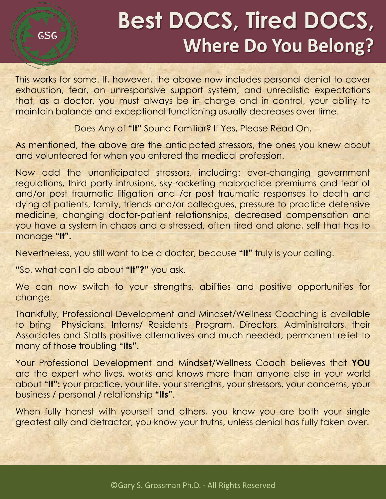# **Best DOCS, Tired DOCS, Where Do You Belong?**

This works for some. If, however, the above now includes personal denial to cover exhaustion, fear, an unresponsive support system, and unrealistic expectations that, as a doctor, you must always be in charge and in control, your ability to maintain balance and exceptional functioning usually decreases over time.

Does Any of **"It"** Sound Familiar? If Yes, Please Read On.

As mentioned, the above are the anticipated stressors, the ones you knew about and volunteered for when you entered the medical profession.

Now add the unanticipated stressors, including: ever-changing government regulations, third party intrusions, sky-rocketing malpractice premiums and fear of and/or post traumatic litigation and /or post traumatic responses to death and dying of patients, family, friends and/or colleagues, pressure to practice defensive medicine, changing doctor-patient relationships, decreased compensation and you have a system in chaos and a stressed, often tired and alone, self that has to manage **"It".**

Nevertheless, you still want to be a doctor, because **"It"** truly is your calling.

"So, what can I do about **"It"?"** you ask.

GSG

We can now switch to your strengths, abilities and positive opportunities for change.

Thankfully, Professional Development and Mindset/Wellness Coaching is available to bring Physicians, Interns/ Residents, Program, Directors, Administrators, their Associates and Staffs positive alternatives and much-needed, permanent relief to many of those troubling **"Its".**

Your Professional Development and Mindset/Wellness Coach believes that **YOU** are the expert who lives, works and knows more than anyone else in your world about **"It":** your practice, your life, your strengths, your stressors, your concerns, your business / personal / relationship **"Its"**.

When fully honest with yourself and others, you know you are both your single greatest ally and detractor, you know your truths, unless denial has fully taken over.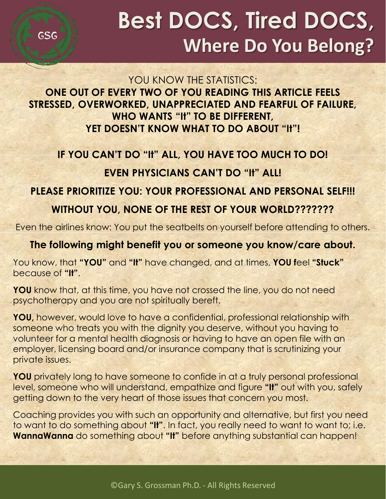**GSG** 

# **Best DOCS, Tired DOCS, Where Do You Belong?**

#### YOU KNOW THE STATISTICS: **ONE OUT OF EVERY TWO OF YOU READING THIS ARTICLE FEELS STRESSED, OVERWORKED, UNAPPRECIATED AND FEARFUL OF FAILURE, WHO WANTS "It" TO BE DIFFERENT, YET DOESN'T KNOW WHAT TO DO ABOUT "It"!**

### **IF YOU CAN'T DO "It" ALL, YOU HAVE TOO MUCH TO DO!**

### **EVEN PHYSICIANS CAN'T DO "It" ALL!**

### **PLEASE PRIORITIZE YOU: YOUR PROFESSIONAL AND PERSONAL SELF!!!**

### **WITHOUT YOU, NONE OF THE REST OF YOUR WORLD???????**

Even the airlines know: You put the seatbelts on yourself before attending to others.

#### **The following might benefit you or someone you know/care about.**

You know, that **"YOU"** and **"It"** have changed, and at times, **YOU f**eel **"Stuck"** because of **"It"**.

**YOU** know that, at this time, you have not crossed the line, you do not need psychotherapy and you are not spiritually bereft.

**YOU,** however, would love to have a confidential, professional relationship with someone who treats you with the dignity you deserve, without you having to volunteer for a mental health diagnosis or having to have an open file with an employer, licensing board and/or insurance company that is scrutinizing your private issues.

**YOU** privately long to have someone to confide in at a truly personal professional level, someone who will understand, empathize and figure **"It"** out with you, safely getting down to the very heart of those issues that concern you most.

Coaching provides you with such an opportunity and alternative, but first you need to want to do something about **"It"**. In fact, you really need to want to want to; i.e. **WannaWanna** do something about **"It"** before anything substantial can happen!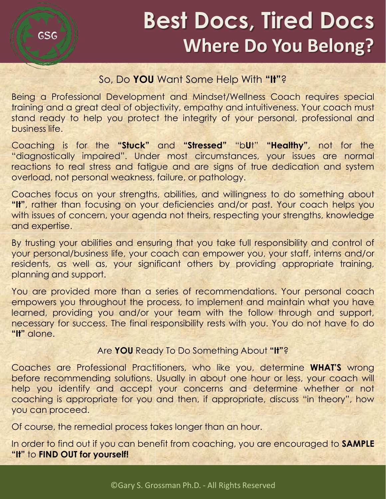## **Best Docs, Tired Docs Where Do You Belong?**

#### So, Do **YOU** Want Some Help With **"It"**?

Being a Professional Development and Mindset/Wellness Coach requires special training and a great deal of objectivity, empathy and intuitiveness. Your coach must stand ready to help you protect the integrity of your personal, professional and business life.

Coaching is for the **"Stuck"** and **"Stressed"** "b**U**t" **"Healthy"**, not for the "diagnostically impaired". Under most circumstances, your issues are normal reactions to real stress and fatigue and are signs of true dedication and system overload, not personal weakness, failure, or pathology.

Coaches focus on your strengths, abilities, and willingness to do something about **"It"**, rather than focusing on your deficiencies and/or past. Your coach helps you with issues of concern, your agenda not theirs, respecting your strengths, knowledge and expertise.

By trusting your abilities and ensuring that you take full responsibility and control of your personal/business life, your coach can empower you, your staff, interns and/or residents, as well as, your significant others by providing appropriate training, planning and support.

You are provided more than a series of recommendations. Your personal coach empowers you throughout the process, to implement and maintain what you have learned, providing you and/or your team with the follow through and support, necessary for success. The final responsibility rests with you. You do not have to do **"It"** alone.

#### Are **YOU** Ready To Do Something About **"It"**?

Coaches are Professional Practitioners, who like you, determine **WHAT'S** wrong before recommending solutions. Usually in about one hour or less, your coach will help you identify and accept your concerns and determine whether or not coaching is appropriate for you and then, if appropriate, discuss "in theory", how you can proceed.

Of course, the remedial process takes longer than an hour.

In order to find out if you can benefit from coaching, you are encouraged to **SAMPLE "It"** to **FIND OUT for yourself!**